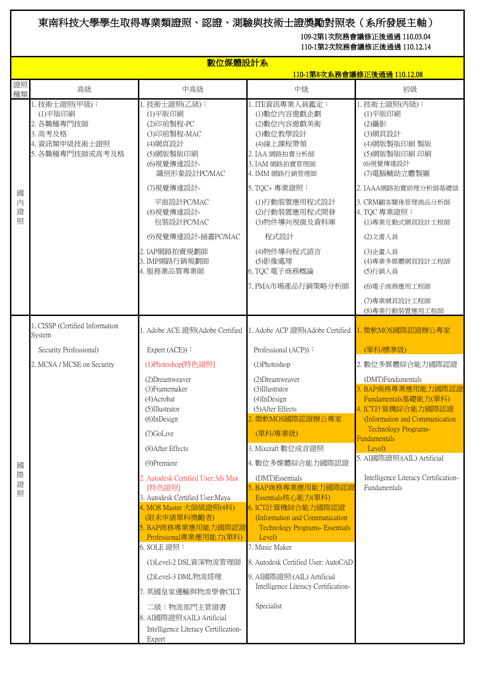## 東南科技大學學生取得專業類證照、認證、測驗與技術士證獎勵對照表(系所發展主軸)

109-2第1次院務會議修正後通過 110.03.04

110-1第2次院務會議修正後通過 110.12.14

|             | 數位媒體設計系<br><u>110-1第8次系務會議修正後通過 110.12.08</u>                                         |                                                                                                                                                                           |                                                                                                                                                                        |                                                                                                                        |  |
|-------------|---------------------------------------------------------------------------------------|---------------------------------------------------------------------------------------------------------------------------------------------------------------------------|------------------------------------------------------------------------------------------------------------------------------------------------------------------------|------------------------------------------------------------------------------------------------------------------------|--|
| 證照<br>種類    | 高級                                                                                    | 中高級                                                                                                                                                                       | 中級                                                                                                                                                                     | 初級                                                                                                                     |  |
|             | 1. 技術士證照(甲級):<br>(1)平版印刷<br>2. 各職種專門技師<br>3. 高考及格<br>4. 資訊類甲級技術士證照<br>5. 各職種專門技師或高考及格 | 1. 技術士證照(乙級):<br>(1)平版印刷<br>(2)印前製程-PC<br>(3)印前製程-MAC<br>(4)網頁設計<br>(5)網版製版印刷<br>(6)視覺傳達設計-<br>識別形象設計PC/MAC                                                               | 1. ITE資訊專業人員鑑定:<br>(1)數位內容遊戲企劃<br>(2)數位內容遊戲美術<br>(3)數位教學設計<br>(4) 線上課程帶領<br>2. IAA 網路拍賣分析師<br>3. IAM 網路拍賣管理師<br>4. IMM 網路行銷管理師                                         | 1. 技術士證照(丙級):<br>(1)平版印刷<br>(2)攝影<br>(3)網頁設計<br>(4)網版製版印刷製版<br>(5)網版製版印刷印刷<br>(6)視覺傳達設計<br>(7)電腦輔助立體製圖                 |  |
| 國           |                                                                                       | (7) 視覺傳達設計-                                                                                                                                                               | 5. TQC+ 專業證照:                                                                                                                                                          | 2. IAAA網路拍賣助理分析師基礎級                                                                                                    |  |
| 内<br>證<br>照 |                                                                                       | 平面設計PC/MAC<br>(8)視覺傳達設計-<br>包裝設計PC/MAC                                                                                                                                    | (1)行動裝置應用程式設計<br>(2)行動裝置應用程式開發<br>(3)物件導向視窗及資料庫                                                                                                                        | 3. CRM顧客關係管理商品分析師<br>4. TQC 專業證照:<br>(1)專業互動式網頁設計工程師                                                                   |  |
|             |                                                                                       | (9)視覺傳達設計-插畫PC/MAC                                                                                                                                                        | 程式設計                                                                                                                                                                   | (2)文書人員                                                                                                                |  |
|             |                                                                                       | 2. IAP網路拍賣規劃師<br>3. IMP網路行銷規劃師<br>4. 服務業品質專業師                                                                                                                             | (4)物件導向程式語言<br>(5)影像處理<br>6. TQC 電子商務概論<br>7. PMA市場產品行銷策略分析師                                                                                                           | (3) 企畫人員<br>(4)專業多媒體網頁設計工程師<br>(5)行銷人員<br>(6)電子商務應用工程師                                                                 |  |
|             |                                                                                       |                                                                                                                                                                           |                                                                                                                                                                        | (7)專業網頁設計工程師<br>(8)專業行動裝置應用工程師                                                                                         |  |
|             | 1. CISSP (Certified Information<br>System                                             | 1. Adobe ACE 證照(Adobe Certified                                                                                                                                           | 1. Adobe ACP 證照(Adobe Certified                                                                                                                                        | . 微軟MOS國際認證辦公專家                                                                                                        |  |
|             | Security Professional)                                                                | Expert (ACE)):                                                                                                                                                            | Professional (ACP)):                                                                                                                                                   | (單科/標準級)                                                                                                               |  |
|             | 2. MCSA / MCSE on Security                                                            | (1)Photoshop[特色證照]                                                                                                                                                        | (1)Photoshop                                                                                                                                                           | 2. 數位多媒體綜合能力國際認證                                                                                                       |  |
|             |                                                                                       | (2) Dreamweaver<br>(3) Framemaker<br>(4)Acrobat<br>$(5)$ Illustrator<br>(6)InDesign                                                                                       | (2) Dreamweaver<br>(3)Illustrator<br>$(4)$ InDesign<br>(5) After Effects<br>2. 微軟MOS國際認證辦公專家                                                                           | (DMT)Fundamentals<br>3. BAP商務專業應用能力國際認證<br>Fundamentals基礎能力(單科)<br>4. ICT計算機綜合能力國際認證<br>(Information and Communication |  |
|             |                                                                                       | (7)GoLive                                                                                                                                                                 | (單科/專業級)                                                                                                                                                               | <b>Technology Programs-</b><br>Fundamentals                                                                            |  |
|             |                                                                                       | (8) After Effects                                                                                                                                                         | 3. Mixcraft 數位成音證照                                                                                                                                                     | Level)<br>5. AI國際證照:(AIL) Artificial                                                                                   |  |
| 國           |                                                                                       | (9) Premiere                                                                                                                                                              | 4. 數位多媒體綜合能力國際認證                                                                                                                                                       |                                                                                                                        |  |
| 際<br>證<br>照 |                                                                                       | 2. Autodesk Certified User:3ds Max<br>[特色證照]<br>3. Autodesk Certified User: Maya<br>4. MOS Master 大師級證照(4科)<br>(限未申請單科獎勵者)<br>. BAP商務專業應用能力國際認證<br>Professional專業應用能力(單科) | (DMT)Essentials<br>5. BAP商務專業應用能力國際認證<br>Essentials核心能力(單科)<br>6. ICT計算機綜合能力國際認證<br>(Information and Communication<br><b>Technology Programs- Essentials</b><br>Level) | Intelligence Literacy Certification-<br>Fundamentals                                                                   |  |
|             |                                                                                       | 6. SOLE 證照:                                                                                                                                                               | 7. Music Maker                                                                                                                                                         |                                                                                                                        |  |
|             |                                                                                       | (1)Level-2 DSL資深物流管理師                                                                                                                                                     | 8. Autodesk Certified User: AutoCAD                                                                                                                                    |                                                                                                                        |  |
|             |                                                                                       | (2)Level-3 DML物流經理                                                                                                                                                        | 9. AI國際證照: (AIL) Artificial<br>Intelligence Literacy Certification-                                                                                                    |                                                                                                                        |  |
|             |                                                                                       | 7. 英國皇家運輸與物流學會CILT<br>二級:物流部門主管證書<br>8. AI國際證照:(AIL) Artificial<br>Intelligence Literacy Certification-<br>Expert                                                         | Specialist                                                                                                                                                             |                                                                                                                        |  |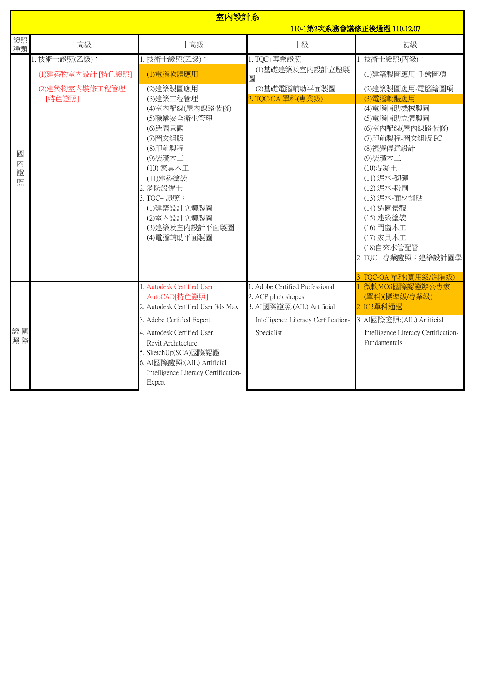|                  | 室内設計系<br>110-1第2次系務會議修正後通過 110.12.07          |                                                                                                                                                                                                                                                                              |                                                                                                                                           |                                                                                                                                                                                                                                                                                                                 |
|------------------|-----------------------------------------------|------------------------------------------------------------------------------------------------------------------------------------------------------------------------------------------------------------------------------------------------------------------------------|-------------------------------------------------------------------------------------------------------------------------------------------|-----------------------------------------------------------------------------------------------------------------------------------------------------------------------------------------------------------------------------------------------------------------------------------------------------------------|
| 證照<br>種類         | 高級                                            | 中高級                                                                                                                                                                                                                                                                          | 中級                                                                                                                                        | 初級                                                                                                                                                                                                                                                                                                              |
|                  | 1. 技術士證照(乙級):                                 | 1. 技術士證照(乙級):                                                                                                                                                                                                                                                                | 1. TQC+專業證照<br>(1)基礎建築及室內設計立體製                                                                                                            | 1. 技術士證照(丙級):                                                                                                                                                                                                                                                                                                   |
| 國<br>内<br>證<br>照 | (1)建築物室內設計 [特色證照]<br>(2)建築物室內裝修工程管理<br>[特色證照] | (1)電腦軟體應用<br>(2)建築製圖應用<br>(3)建築工程管理<br>(4)室內配線(屋內線路裝修)<br>(5)職業安全衛生管理<br>(6)造園景觀<br>(7)圖文組版<br>(8)印前製程<br>(9)装潢木工<br>(10) 家具木工<br>(11)建築塗裝<br>2. 消防設備士<br>3. TQC+ 證照:<br>(1)建築設計立體製圖<br>(2)室内設計立體製圖<br>(3)建築及室內設計平面製圖<br>(4)電腦輔助平面製圖                                         | 圖<br>(2)基礎電腦輔助平面製圖<br>2. TQC-OA 單科(專業級)                                                                                                   | (1)建築製圖應用-手繪圖項<br>(2)建築製圖應用-電腦繪圖項<br>(3)電腦軟體應用<br>(4)電腦輔助機械製圖<br>(5)電腦輔助立體製圖<br>(6)室内配線(屋内線路装修)<br>(7)印前製程-圖文組版 PC<br>(8)視覺傳達設計<br>(9)装潢木工<br>(10)混凝土<br>(11) 泥水-砌磚<br>(12) 泥水-粉刷<br>(13) 泥水-面材舖貼<br>(14) 造園景觀<br>(15) 建築塗装<br>(16) 門窗木工<br>(17) 家具木工<br>(18)自來水管配管<br>2. TQC+專業證照:建築設計圖學<br>TQC-OA 單科(實用級/進階級) |
| 證國<br>照際         |                                               | 1. Autodesk Certified User:<br>AutoCAD[特色證照]<br>2. Autodesk Certified User:3ds Max<br>3. Adobe Certified Expert<br>4. Autodesk Certified User:<br>Revit Architecture<br>5. SketchUp(SCA)國際認證<br>6. AI國際證照:(AIL) Artificial<br>Intelligence Literacy Certification-<br>Expert | 1. Adobe Certified Professional<br>2. ACP photoshopcs<br>3. AI國際證照:(AIL) Artificial<br>Intelligence Literacy Certification-<br>Specialist | L.微軟MOS國際認證辦公專家<br>(單科)(標準級/專業級)<br>2. IC3單科通過<br>3. AI國際證照: (AIL) Artificial<br>Intelligence Literacy Certification-<br>Fundamentals                                                                                                                                                                           |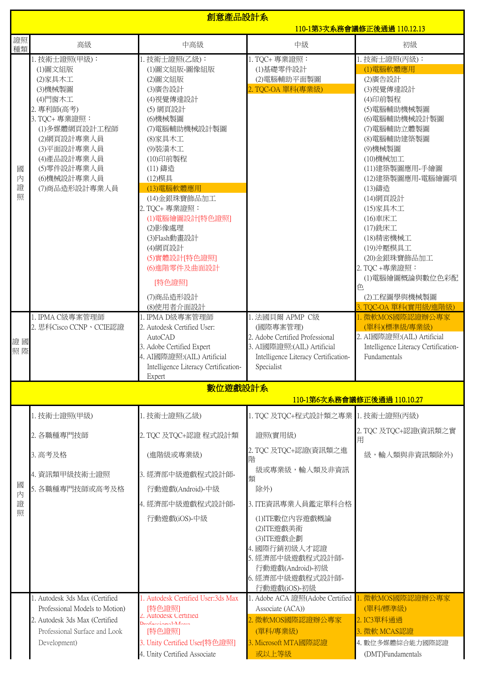|                  | 創意產品設計系<br>110-1第3次系務會議修正後通過 110.12.13                                                                                      |                                                                                                                                                                                                                                                  |                                                                                                                                                    |                                                                                                                                                                                                                                                                      |  |
|------------------|-----------------------------------------------------------------------------------------------------------------------------|--------------------------------------------------------------------------------------------------------------------------------------------------------------------------------------------------------------------------------------------------|----------------------------------------------------------------------------------------------------------------------------------------------------|----------------------------------------------------------------------------------------------------------------------------------------------------------------------------------------------------------------------------------------------------------------------|--|
| 證照<br>種類         | 高級                                                                                                                          | 中高級                                                                                                                                                                                                                                              | 中級                                                                                                                                                 | 初級                                                                                                                                                                                                                                                                   |  |
|                  | 1. 技術士證照(甲級):<br>(1)圖文組版<br>(2)家具木工<br>(3)機械製圖<br>(4)門窗木工<br>2. 專利師(高考)                                                     | 1. 技術士證照(乙級):<br>(1)圖文組版-圖像組版<br>(2)圖文組版<br>(3)廣告設計<br>(4) 視覺傳達設計<br>(5) 網頁設計                                                                                                                                                                    | 1. TQC+ 專業證照:<br>(1)基礎零件設計<br>(2)電腦輔助平面製圖<br>2. TQC-OA 單科(專業級)                                                                                     | 1. 技術士證照(丙級):<br>(1)電腦軟體應用<br>(2)廣告設計<br>(3) 視覺傳達設計<br>(4)印前製程<br>(5)電腦輔助機械製圖                                                                                                                                                                                        |  |
| 國<br>内<br>證<br>照 | 3. TQC+ 專業證照:<br>(1)多媒體網頁設計工程師<br>(2)網頁設計專業人員<br>(3)平面設計專業人員<br>(4)產品設計專業人員<br>(5) 零件設計專業人員<br>(6)機械設計專業人員<br>(7)商品造形設計專業人員 | (6)機械製圖<br>(7)電腦輔助機械設計製圖<br>(8)家具木工<br>(9)装潢木工<br>(10)印前製程<br>(11) 鑄造<br>(12)模具<br>(13)電腦軟體應用<br>(14)金銀珠寶飾品加工<br>2. TQC+ 專業證照:<br>(1)電腦繪圖設計[特色證照]<br>(2)影像處理<br>(3)Flash動畫設計<br>(4)網頁設計<br>(5)實體設計[特色證照]<br>(6) 進階零件及曲面設計<br>[特色證照]<br>(7)商品造形設計 |                                                                                                                                                    | (6)電腦輔助機械設計製圖<br>(7)電腦輔助立體製圖<br>(8)電腦輔助建築製圖<br>(9)機械製圖<br>(10)機械加工<br>(11)建築製圖應用-手繪圖<br>(12)建築製圖應用-電腦繪圖項<br>(13)鑄造<br>(14)網頁設計<br>(15)家具木工<br>(16)車床工<br>(17) 銑床工<br>(18)精密機械工<br>(19)沖壓模具工<br>(20)金銀珠寶飾品加工<br>2. TQC +專業證照:<br>(1)電腦繪圖概論與數位色彩配<br>色<br>(2)工程圖學與機械製圖 |  |
|                  |                                                                                                                             | (8)使用者介面設計                                                                                                                                                                                                                                       |                                                                                                                                                    | TQC-OA 單科(實用級/進階級)                                                                                                                                                                                                                                                   |  |
| 證國<br>照際         | 1. IPMA C級專案管理師<br>2. 思科Cisco CCNP、CCIE認證                                                                                   | 1. IPMA D級專案管理師<br>2. Autodesk Certified User:<br><b>AutoCAD</b><br>3. Adobe Certified Expert<br>4. AI國際證照: (AIL) Artificial<br>Intelligence Literacy Certification-<br>Expert                                                                   | 1. 法國貝爾 APMP C級<br>(國際專案管理)<br>2. Adobe Certified Professional<br>3. AI國際證照:(AIL) Artificial<br>Intelligence Literacy Certification-<br>Specialist | 1. 微軟MOS國際認證辦公專家<br>(單科)(標準級/專業級)<br>2. AI國際證照:(AIL) Artificial<br>Intelligence Literacy Certification-<br>Fundamentals                                                                                                                                              |  |
|                  |                                                                                                                             | 數位遊戲設計系                                                                                                                                                                                                                                          |                                                                                                                                                    | 110-1第6次系務會議修正後通過 110.10.27                                                                                                                                                                                                                                          |  |
|                  | 1. 技術士證照(甲級)                                                                                                                | 1. 技術士證照(乙級)                                                                                                                                                                                                                                     | 1. TQC 及TQC+程式設計類之專業 1. 技術士證照(丙級)                                                                                                                  |                                                                                                                                                                                                                                                                      |  |
|                  | 2. 各職種專門技師                                                                                                                  | 2. TQC 及TQC+認證 程式設計類                                                                                                                                                                                                                             | 證照(實用級)                                                                                                                                            | 2. TQC 及TQC+認證(資訊類之實<br>用                                                                                                                                                                                                                                            |  |
|                  | 3. 高考及格                                                                                                                     | (進階級或專業級)                                                                                                                                                                                                                                        | 2. TQC 及TQC+認證(資訊類之進<br>階                                                                                                                          | 級,輸入類與非資訊類除外)                                                                                                                                                                                                                                                        |  |
| 國                | 4. 資訊類甲級技術士證照                                                                                                               | 3. 經濟部中級遊戲程式設計師-                                                                                                                                                                                                                                 | 級或專業級,輸入類及非資訊<br>類                                                                                                                                 |                                                                                                                                                                                                                                                                      |  |
| 内                | 5. 各職種專門技師或高考及格                                                                                                             | 行動遊戲(Android)-中級                                                                                                                                                                                                                                 | 除外)                                                                                                                                                |                                                                                                                                                                                                                                                                      |  |
| 證<br>照           |                                                                                                                             | 4. 經濟部中級遊戲程式設計師-                                                                                                                                                                                                                                 | 3. ITE資訊專業人員鑑定單科合格                                                                                                                                 |                                                                                                                                                                                                                                                                      |  |
|                  |                                                                                                                             | 行動遊戲(iOS)-中級                                                                                                                                                                                                                                     | (1)ITE數位內容遊戲概論<br>(2)ITE遊戲美術<br>(3)ITE遊戲企劃<br>4. 國際行銷初級人才認證<br>5. 經濟部中級遊戲程式設計師-<br>行動遊戲(Android)-初級<br>6. 經濟部中級遊戲程式設計師-<br>行動遊戲(iOS)-初級            |                                                                                                                                                                                                                                                                      |  |
|                  | 1. Autodesk 3ds Max (Certified<br>Professional Models to Motion)                                                            | . Autodesk Certified User:3ds Max<br>[特色證照]                                                                                                                                                                                                      | 1. Adobe ACA 證照(Adobe Certified<br>Associate (ACA))                                                                                                | 微軟MOS國際認證辦公專家<br>(單科/標準級)                                                                                                                                                                                                                                            |  |
|                  | 2. Autodesk 3ds Max (Certified<br>Professional Surface and Look                                                             | <b>Autodesk Certified</b><br>$R_{\text{non-1}}$<br>[特色證照]                                                                                                                                                                                        | 2. 微軟MOS國際認證辦公專家<br>(單科/專業級)                                                                                                                       | 2. IC3單科通過<br>3. 微軟 MCAS認證                                                                                                                                                                                                                                           |  |
|                  | Development)                                                                                                                | 3. Unity Certified User[特色證照]<br>4. Unity Certified Associate                                                                                                                                                                                    | 3. Microsoft MTA國際認證<br>或以上等級                                                                                                                      | 4. 數位多媒體綜合能力國際認證<br>(DMT)Fundamentals                                                                                                                                                                                                                                |  |